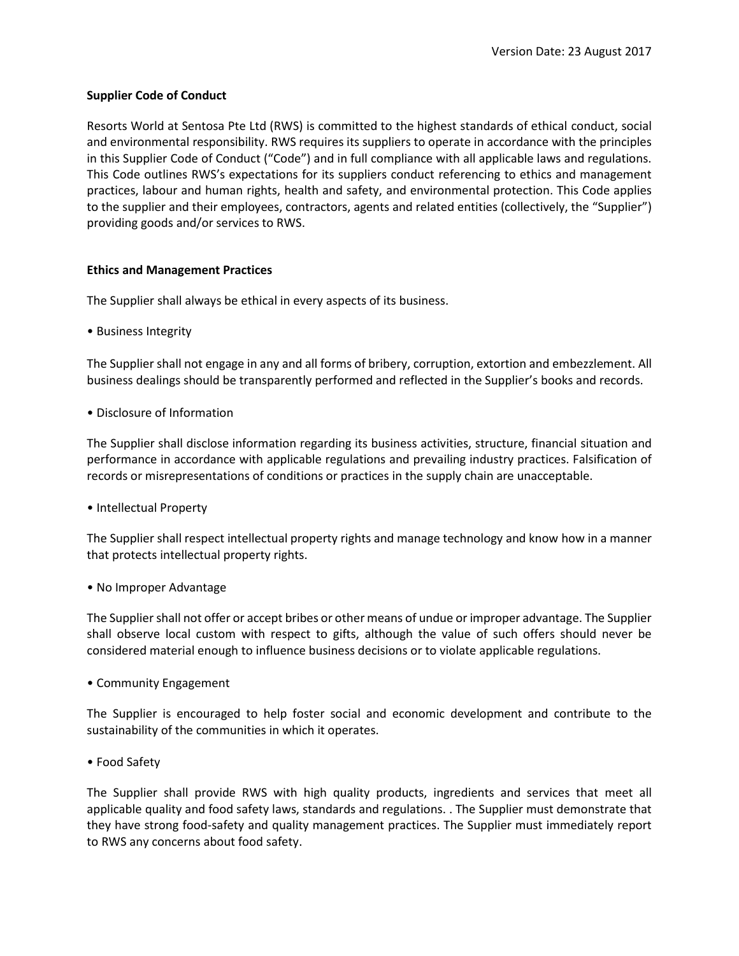# **Supplier Code of Conduct**

Resorts World at Sentosa Pte Ltd (RWS) is committed to the highest standards of ethical conduct, social and environmental responsibility. RWS requires its suppliers to operate in accordance with the principles in this Supplier Code of Conduct ("Code") and in full compliance with all applicable laws and regulations. This Code outlines RWS's expectations for its suppliers conduct referencing to ethics and management practices, labour and human rights, health and safety, and environmental protection. This Code applies to the supplier and their employees, contractors, agents and related entities (collectively, the "Supplier") providing goods and/or services to RWS.

## **Ethics and Management Practices**

The Supplier shall always be ethical in every aspects of its business.

• Business Integrity

The Supplier shall not engage in any and all forms of bribery, corruption, extortion and embezzlement. All business dealings should be transparently performed and reflected in the Supplier's books and records.

• Disclosure of Information

The Supplier shall disclose information regarding its business activities, structure, financial situation and performance in accordance with applicable regulations and prevailing industry practices. Falsification of records or misrepresentations of conditions or practices in the supply chain are unacceptable.

• Intellectual Property

The Supplier shall respect intellectual property rights and manage technology and know how in a manner that protects intellectual property rights.

• No Improper Advantage

The Supplier shall not offer or accept bribes or other means of undue or improper advantage. The Supplier shall observe local custom with respect to gifts, although the value of such offers should never be considered material enough to influence business decisions or to violate applicable regulations.

• Community Engagement

The Supplier is encouraged to help foster social and economic development and contribute to the sustainability of the communities in which it operates.

• Food Safety

The Supplier shall provide RWS with high quality products, ingredients and services that meet all applicable quality and food safety laws, standards and regulations. . The Supplier must demonstrate that they have strong food-safety and quality management practices. The Supplier must immediately report to RWS any concerns about food safety.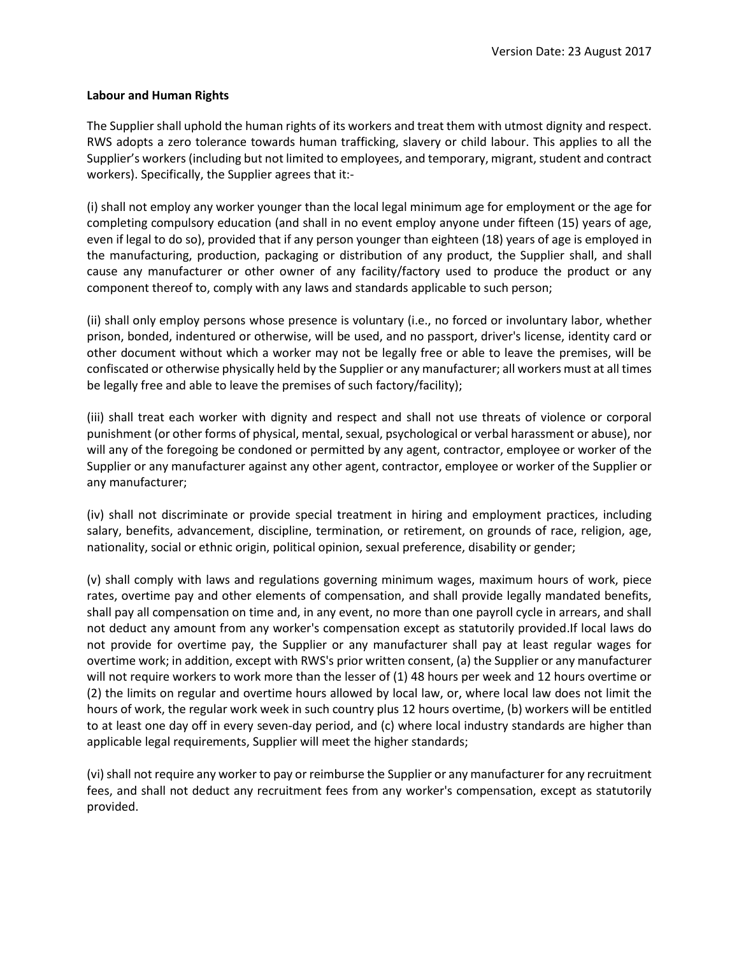### **Labour and Human Rights**

The Supplier shall uphold the human rights of its workers and treat them with utmost dignity and respect. RWS adopts a zero tolerance towards human trafficking, slavery or child labour. This applies to all the Supplier's workers (including but not limited to employees, and temporary, migrant, student and contract workers). Specifically, the Supplier agrees that it:-

(i) shall not employ any worker younger than the local legal minimum age for employment or the age for completing compulsory education (and shall in no event employ anyone under fifteen (15) years of age, even if legal to do so), provided that if any person younger than eighteen (18) years of age is employed in the manufacturing, production, packaging or distribution of any product, the Supplier shall, and shall cause any manufacturer or other owner of any facility/factory used to produce the product or any component thereof to, comply with any laws and standards applicable to such person;

(ii) shall only employ persons whose presence is voluntary (i.e., no forced or involuntary labor, whether prison, bonded, indentured or otherwise, will be used, and no passport, driver's license, identity card or other document without which a worker may not be legally free or able to leave the premises, will be confiscated or otherwise physically held by the Supplier or any manufacturer; all workers must at all times be legally free and able to leave the premises of such factory/facility);

(iii) shall treat each worker with dignity and respect and shall not use threats of violence or corporal punishment (or other forms of physical, mental, sexual, psychological or verbal harassment or abuse), nor will any of the foregoing be condoned or permitted by any agent, contractor, employee or worker of the Supplier or any manufacturer against any other agent, contractor, employee or worker of the Supplier or any manufacturer;

(iv) shall not discriminate or provide special treatment in hiring and employment practices, including salary, benefits, advancement, discipline, termination, or retirement, on grounds of race, religion, age, nationality, social or ethnic origin, political opinion, sexual preference, disability or gender;

(v) shall comply with laws and regulations governing minimum wages, maximum hours of work, piece rates, overtime pay and other elements of compensation, and shall provide legally mandated benefits, shall pay all compensation on time and, in any event, no more than one payroll cycle in arrears, and shall not deduct any amount from any worker's compensation except as statutorily provided.If local laws do not provide for overtime pay, the Supplier or any manufacturer shall pay at least regular wages for overtime work; in addition, except with RWS's prior written consent, (a) the Supplier or any manufacturer will not require workers to work more than the lesser of (1) 48 hours per week and 12 hours overtime or (2) the limits on regular and overtime hours allowed by local law, or, where local law does not limit the hours of work, the regular work week in such country plus 12 hours overtime, (b) workers will be entitled to at least one day off in every seven-day period, and (c) where local industry standards are higher than applicable legal requirements, Supplier will meet the higher standards;

(vi) shall not require any worker to pay or reimburse the Supplier or any manufacturer for any recruitment fees, and shall not deduct any recruitment fees from any worker's compensation, except as statutorily provided.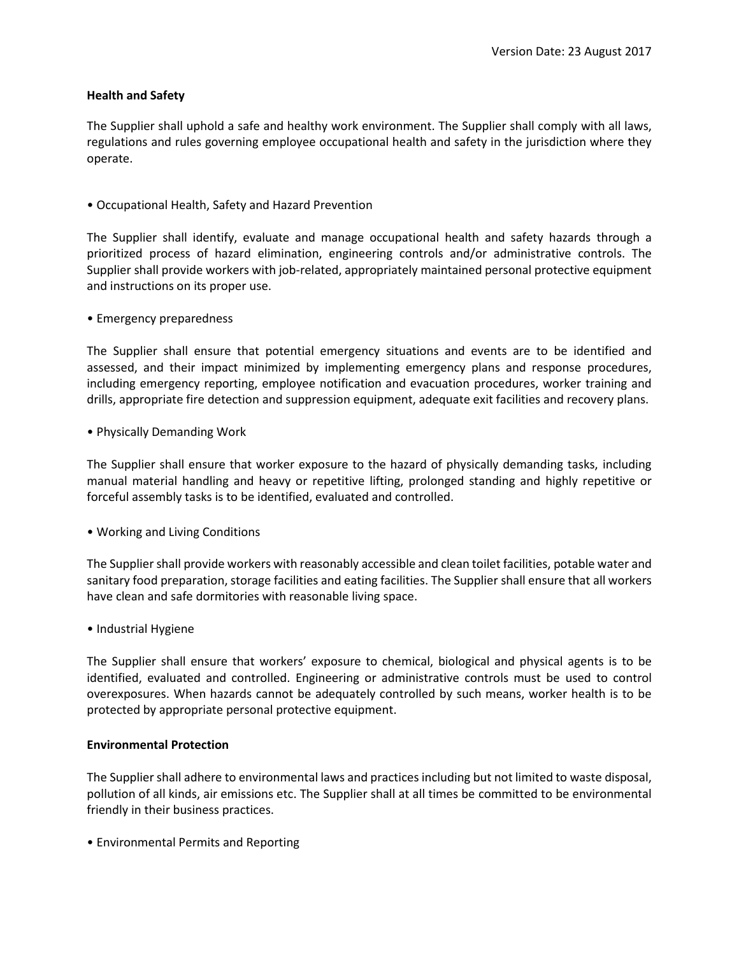## **Health and Safety**

The Supplier shall uphold a safe and healthy work environment. The Supplier shall comply with all laws, regulations and rules governing employee occupational health and safety in the jurisdiction where they operate.

• Occupational Health, Safety and Hazard Prevention

The Supplier shall identify, evaluate and manage occupational health and safety hazards through a prioritized process of hazard elimination, engineering controls and/or administrative controls. The Supplier shall provide workers with job-related, appropriately maintained personal protective equipment and instructions on its proper use.

• Emergency preparedness

The Supplier shall ensure that potential emergency situations and events are to be identified and assessed, and their impact minimized by implementing emergency plans and response procedures, including emergency reporting, employee notification and evacuation procedures, worker training and drills, appropriate fire detection and suppression equipment, adequate exit facilities and recovery plans.

• Physically Demanding Work

The Supplier shall ensure that worker exposure to the hazard of physically demanding tasks, including manual material handling and heavy or repetitive lifting, prolonged standing and highly repetitive or forceful assembly tasks is to be identified, evaluated and controlled.

• Working and Living Conditions

The Supplier shall provide workers with reasonably accessible and clean toilet facilities, potable water and sanitary food preparation, storage facilities and eating facilities. The Supplier shall ensure that all workers have clean and safe dormitories with reasonable living space.

• Industrial Hygiene

The Supplier shall ensure that workers' exposure to chemical, biological and physical agents is to be identified, evaluated and controlled. Engineering or administrative controls must be used to control overexposures. When hazards cannot be adequately controlled by such means, worker health is to be protected by appropriate personal protective equipment.

### **Environmental Protection**

The Supplier shall adhere to environmental laws and practices including but not limited to waste disposal, pollution of all kinds, air emissions etc. The Supplier shall at all times be committed to be environmental friendly in their business practices.

• Environmental Permits and Reporting